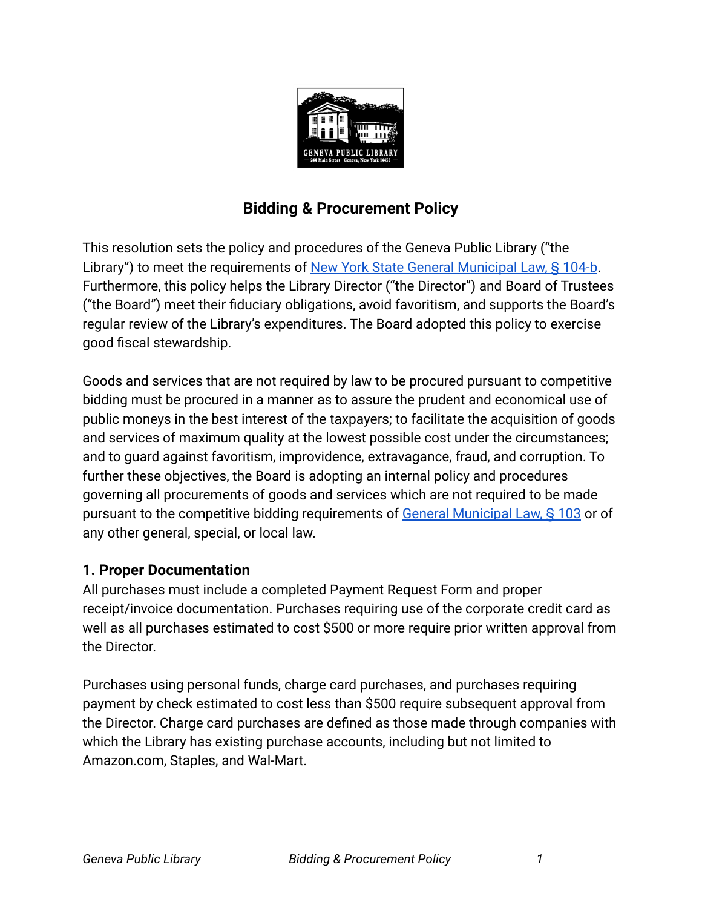

# **Bidding & Procurement Policy**

This resolution sets the policy and procedures of the Geneva Public Library ("the Library") to meet the requirements of New York State [General Municipal Law, § 104-b](https://www.nysenate.gov/legislation/laws/GMU/104-B). Furthermore, this policy helps the Library Director ("the Director") and Board of Trustees ("the Board") meet their fiduciary obligations, avoid favoritism, and supports the Board's regular review of the Library's expenditures. The Board adopted this policy to exercise good fiscal stewardship.

Goods and services that are not required by law to be procured pursuant to competitive bidding must be procured in a manner as to assure the prudent and economical use of public moneys in the best interest of the taxpayers; to facilitate the acquisition of goods and services of maximum quality at the lowest possible cost under the circumstances; and to guard against favoritism, improvidence, extravagance, fraud, and corruption. To further these objectives, the Board is adopting an internal policy and procedures governing all procurements of goods and services which are not required to be made pursuant to the competitive bidding requirements of [General Municipal Law, § 103](https://www.nysenate.gov/legislation/laws/GMU/103) or of any other general, special, or local law.

#### **1. Proper Documentation**

All purchases must include a completed Payment Request Form and proper receipt/invoice documentation. Purchases requiring use of the corporate credit card as well as all purchases estimated to cost \$500 or more require prior written approval from the Director.

Purchases using personal funds, charge card purchases, and purchases requiring payment by check estimated to cost less than \$500 require subsequent approval from the Director. Charge card purchases are defined as those made through companies with which the Library has existing purchase accounts, including but not limited to Amazon.com, Staples, and Wal-Mart.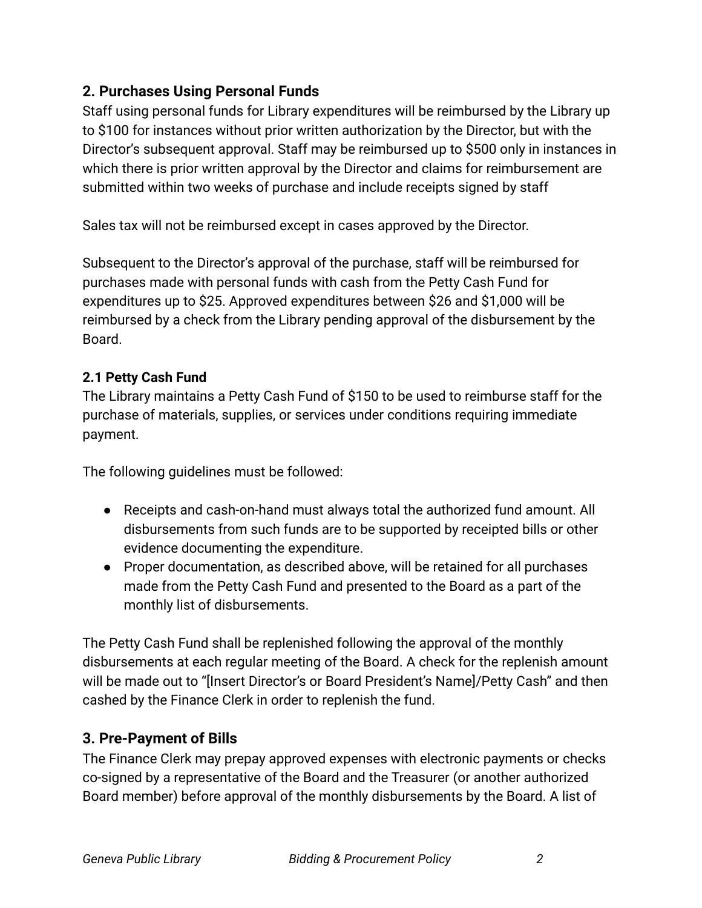### **2. Purchases Using Personal Funds**

Staff using personal funds for Library expenditures will be reimbursed by the Library up to \$100 for instances without prior written authorization by the Director, but with the Director's subsequent approval. Staff may be reimbursed up to \$500 only in instances in which there is prior written approval by the Director and claims for reimbursement are submitted within two weeks of purchase and include receipts signed by staff

Sales tax will not be reimbursed except in cases approved by the Director.

Subsequent to the Director's approval of the purchase, staff will be reimbursed for purchases made with personal funds with cash from the Petty Cash Fund for expenditures up to \$25. Approved expenditures between \$26 and \$1,000 will be reimbursed by a check from the Library pending approval of the disbursement by the Board.

#### **2.1 Petty Cash Fund**

The Library maintains a Petty Cash Fund of \$150 to be used to reimburse staff for the purchase of materials, supplies, or services under conditions requiring immediate payment.

The following guidelines must be followed:

- Receipts and cash-on-hand must always total the authorized fund amount. All disbursements from such funds are to be supported by receipted bills or other evidence documenting the expenditure.
- Proper documentation, as described above, will be retained for all purchases made from the Petty Cash Fund and presented to the Board as a part of the monthly list of disbursements.

The Petty Cash Fund shall be replenished following the approval of the monthly disbursements at each regular meeting of the Board. A check for the replenish amount will be made out to "[Insert Director's or Board President's Name]/Petty Cash" and then cashed by the Finance Clerk in order to replenish the fund.

# **3. Pre-Payment of Bills**

The Finance Clerk may prepay approved expenses with electronic payments or checks co-signed by a representative of the Board and the Treasurer (or another authorized Board member) before approval of the monthly disbursements by the Board. A list of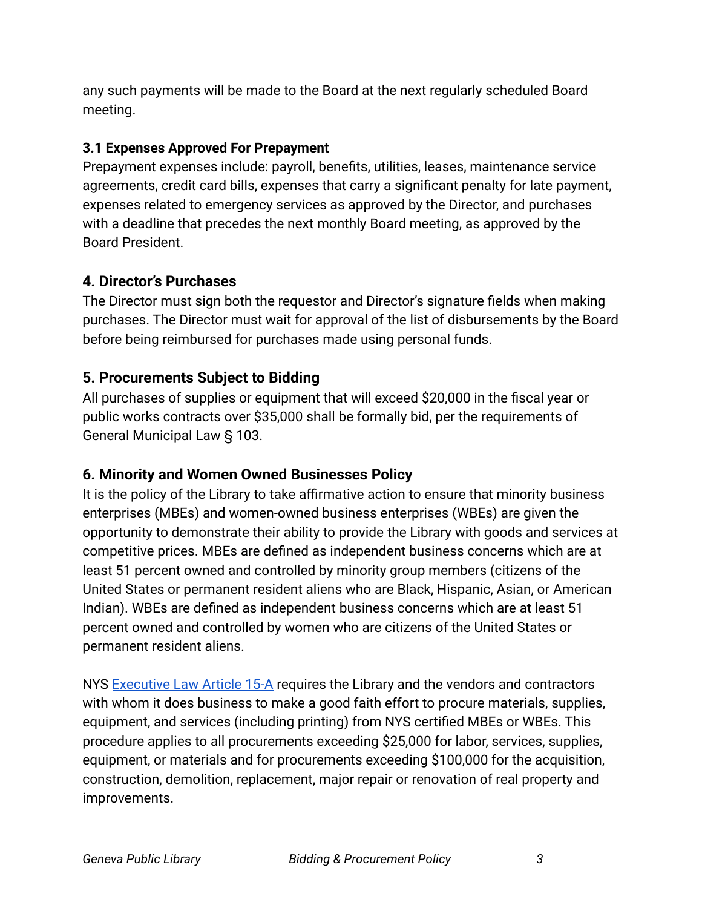any such payments will be made to the Board at the next regularly scheduled Board meeting.

#### **3.1 Expenses Approved For Prepayment**

Prepayment expenses include: payroll, benefits, utilities, leases, maintenance service agreements, credit card bills, expenses that carry a significant penalty for late payment, expenses related to emergency services as approved by the Director, and purchases with a deadline that precedes the next monthly Board meeting, as approved by the Board President.

# **4. Director's Purchases**

The Director must sign both the requestor and Director's signature fields when making purchases. The Director must wait for approval of the list of disbursements by the Board before being reimbursed for purchases made using personal funds.

# **5. Procurements Subject to Bidding**

All purchases of supplies or equipment that will exceed \$20,000 in the fiscal year or public works contracts over \$35,000 shall be formally bid, per the requirements of General Municipal Law § 103.

# **6. Minority and Women Owned Businesses Policy**

It is the policy of the Library to take affirmative action to ensure that minority business enterprises (MBEs) and women-owned business enterprises (WBEs) are given the opportunity to demonstrate their ability to provide the Library with goods and services at competitive prices. MBEs are defined as independent business concerns which are at least 51 percent owned and controlled by minority group members (citizens of the United States or permanent resident aliens who are Black, Hispanic, Asian, or American Indian). WBEs are defined as independent business concerns which are at least 51 percent owned and controlled by women who are citizens of the United States or permanent resident aliens.

NYS [Executive Law Article 15-A](https://www.nysenate.gov/legislation/laws/EXC/A15-A) requires the Library and the vendors and contractors with whom it does business to make a good faith effort to procure materials, supplies, equipment, and services (including printing) from NYS certified MBEs or WBEs. This procedure applies to all procurements exceeding \$25,000 for labor, services, supplies, equipment, or materials and for procurements exceeding \$100,000 for the acquisition, construction, demolition, replacement, major repair or renovation of real property and improvements.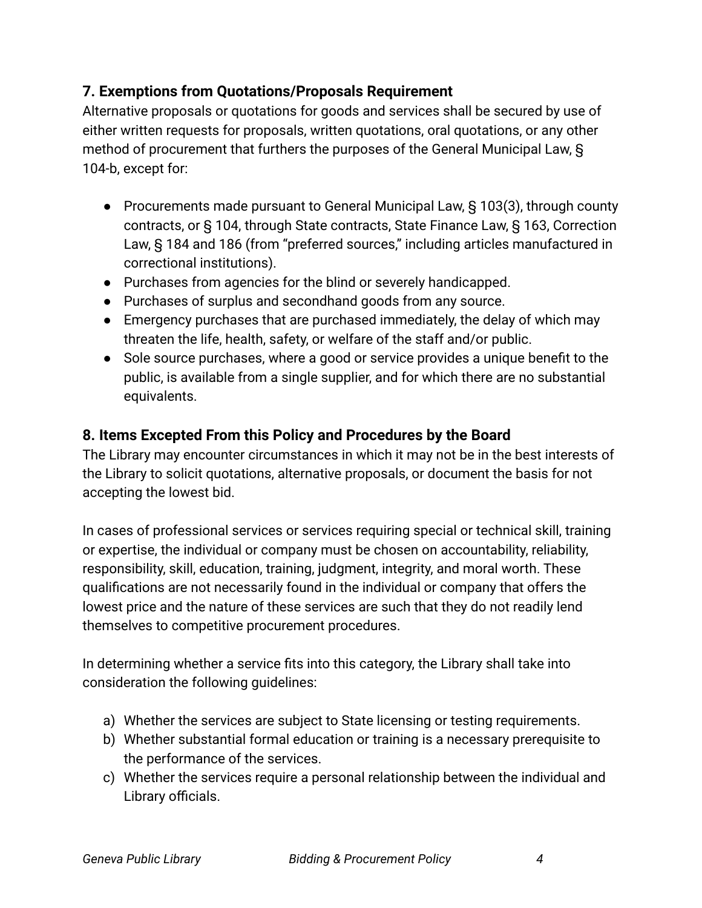### **7. Exemptions from Quotations/Proposals Requirement**

Alternative proposals or quotations for goods and services shall be secured by use of either written requests for proposals, written quotations, oral quotations, or any other method of procurement that furthers the purposes of the General Municipal Law, § 104-b, except for:

- Procurements made pursuant to General Municipal Law, § 103(3), through county contracts, or § 104, through State contracts, State Finance Law, § 163, Correction Law, § 184 and 186 (from "preferred sources," including articles manufactured in correctional institutions).
- Purchases from agencies for the blind or severely handicapped.
- Purchases of surplus and secondhand goods from any source.
- Emergency purchases that are purchased immediately, the delay of which may threaten the life, health, safety, or welfare of the staff and/or public.
- Sole source purchases, where a good or service provides a unique benefit to the public, is available from a single supplier, and for which there are no substantial equivalents.

### **8. Items Excepted From this Policy and Procedures by the Board**

The Library may encounter circumstances in which it may not be in the best interests of the Library to solicit quotations, alternative proposals, or document the basis for not accepting the lowest bid.

In cases of professional services or services requiring special or technical skill, training or expertise, the individual or company must be chosen on accountability, reliability, responsibility, skill, education, training, judgment, integrity, and moral worth. These qualifications are not necessarily found in the individual or company that offers the lowest price and the nature of these services are such that they do not readily lend themselves to competitive procurement procedures.

In determining whether a service fits into this category, the Library shall take into consideration the following guidelines:

- a) Whether the services are subject to State licensing or testing requirements.
- b) Whether substantial formal education or training is a necessary prerequisite to the performance of the services.
- c) Whether the services require a personal relationship between the individual and Library officials.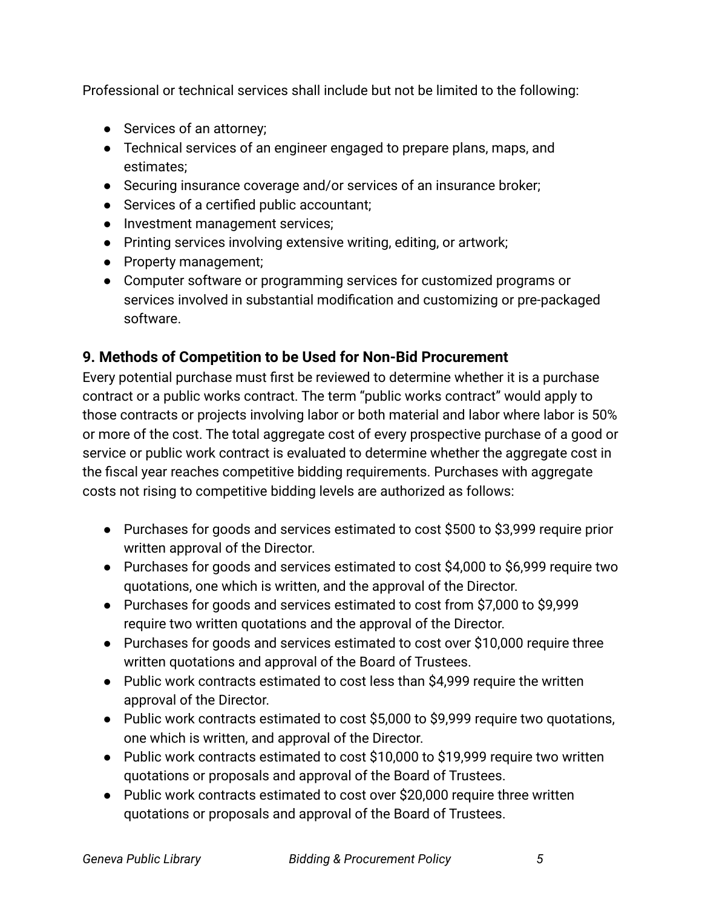Professional or technical services shall include but not be limited to the following:

- Services of an attorney;
- Technical services of an engineer engaged to prepare plans, maps, and estimates;
- Securing insurance coverage and/or services of an insurance broker;
- Services of a certified public accountant;
- Investment management services;
- Printing services involving extensive writing, editing, or artwork;
- Property management;
- Computer software or programming services for customized programs or services involved in substantial modification and customizing or pre-packaged software.

### **9. Methods of Competition to be Used for Non-Bid Procurement**

Every potential purchase must first be reviewed to determine whether it is a purchase contract or a public works contract. The term "public works contract" would apply to those contracts or projects involving labor or both material and labor where labor is 50% or more of the cost. The total aggregate cost of every prospective purchase of a good or service or public work contract is evaluated to determine whether the aggregate cost in the fiscal year reaches competitive bidding requirements. Purchases with aggregate costs not rising to competitive bidding levels are authorized as follows:

- Purchases for goods and services estimated to cost \$500 to \$3,999 require prior written approval of the Director.
- Purchases for goods and services estimated to cost \$4,000 to \$6,999 require two quotations, one which is written, and the approval of the Director.
- Purchases for goods and services estimated to cost from \$7,000 to \$9,999 require two written quotations and the approval of the Director.
- Purchases for goods and services estimated to cost over \$10,000 require three written quotations and approval of the Board of Trustees.
- Public work contracts estimated to cost less than \$4,999 require the written approval of the Director.
- Public work contracts estimated to cost \$5,000 to \$9,999 require two quotations, one which is written, and approval of the Director.
- Public work contracts estimated to cost \$10,000 to \$19,999 require two written quotations or proposals and approval of the Board of Trustees.
- Public work contracts estimated to cost over \$20,000 require three written quotations or proposals and approval of the Board of Trustees.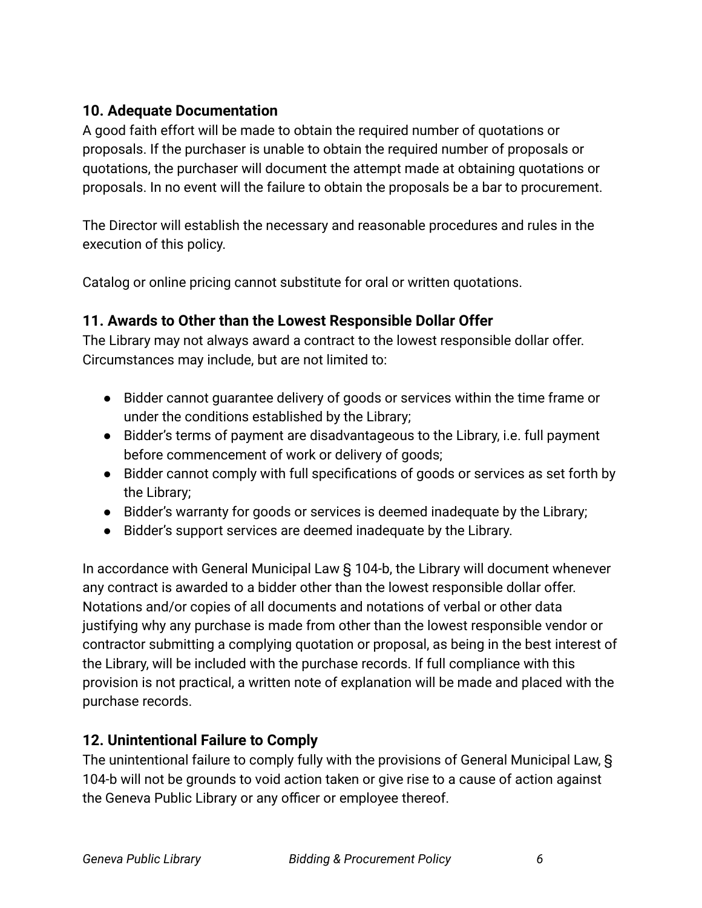# **10. Adequate Documentation**

A good faith effort will be made to obtain the required number of quotations or proposals. If the purchaser is unable to obtain the required number of proposals or quotations, the purchaser will document the attempt made at obtaining quotations or proposals. In no event will the failure to obtain the proposals be a bar to procurement.

The Director will establish the necessary and reasonable procedures and rules in the execution of this policy.

Catalog or online pricing cannot substitute for oral or written quotations.

# **11. Awards to Other than the Lowest Responsible Dollar Offer**

The Library may not always award a contract to the lowest responsible dollar offer. Circumstances may include, but are not limited to:

- Bidder cannot guarantee delivery of goods or services within the time frame or under the conditions established by the Library;
- Bidder's terms of payment are disadvantageous to the Library, i.e. full payment before commencement of work or delivery of goods;
- Bidder cannot comply with full specifications of goods or services as set forth by the Library;
- Bidder's warranty for goods or services is deemed inadequate by the Library;
- Bidder's support services are deemed inadequate by the Library.

In accordance with General Municipal Law § 104-b, the Library will document whenever any contract is awarded to a bidder other than the lowest responsible dollar offer. Notations and/or copies of all documents and notations of verbal or other data justifying why any purchase is made from other than the lowest responsible vendor or contractor submitting a complying quotation or proposal, as being in the best interest of the Library, will be included with the purchase records. If full compliance with this provision is not practical, a written note of explanation will be made and placed with the purchase records.

# **12. Unintentional Failure to Comply**

The unintentional failure to comply fully with the provisions of General Municipal Law, § 104-b will not be grounds to void action taken or give rise to a cause of action against the Geneva Public Library or any officer or employee thereof.